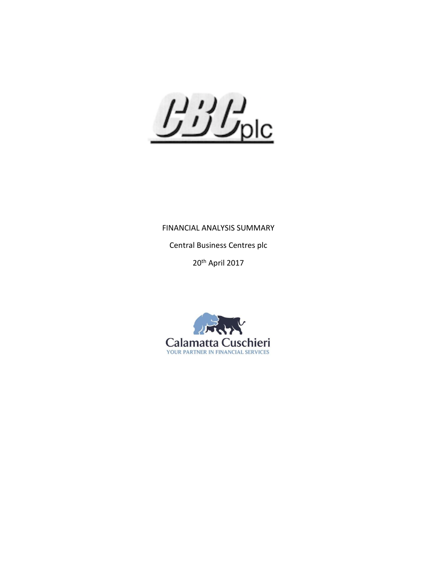$L'$ 

FINANCIAL ANALYSIS SUMMARY Central Business Centres plc

20<sup>th</sup> April 2017

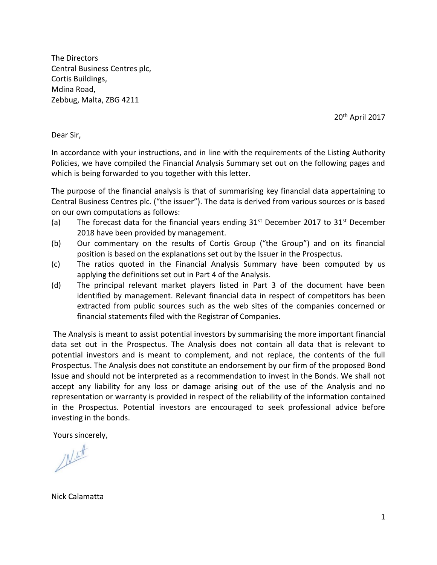The Directors Central Business Centres plc, Cortis Buildings, Mdina Road, Zebbug, Malta, ZBG 4211

20<sup>th</sup> April 2017

Dear Sir,

In accordance with your instructions, and in line with the requirements of the Listing Authority Policies, we have compiled the Financial Analysis Summary set out on the following pages and which is being forwarded to you together with this letter.

The purpose of the financial analysis is that of summarising key financial data appertaining to Central Business Centres plc. ("the issuer"). The data is derived from various sources or is based on our own computations as follows:

- (a) The forecast data for the financial years ending  $31^{st}$  December 2017 to  $31^{st}$  December 2018 have been provided by management.
- (b) Our commentary on the results of Cortis Group ("the Group") and on its financial position is based on the explanations set out by the Issuer in the Prospectus.
- (c) The ratios quoted in the Financial Analysis Summary have been computed by us applying the definitions set out in Part 4 of the Analysis.
- (d) The principal relevant market players listed in Part 3 of the document have been identified by management. Relevant financial data in respect of competitors has been extracted from public sources such as the web sites of the companies concerned or financial statements filed with the Registrar of Companies.

The Analysis is meant to assist potential investors by summarising the more important financial data set out in the Prospectus. The Analysis does not contain all data that is relevant to potential investors and is meant to complement, and not replace, the contents of the full Prospectus. The Analysis does not constitute an endorsement by our firm of the proposed Bond Issue and should not be interpreted as a recommendation to invest in the Bonds. We shall not accept any liability for any loss or damage arising out of the use of the Analysis and no representation or warranty is provided in respect of the reliability of the information contained in the Prospectus. Potential investors are encouraged to seek professional advice before investing in the bonds.

Yours sincerely,

 $N<sup>th</sup>$ 

Nick Calamatta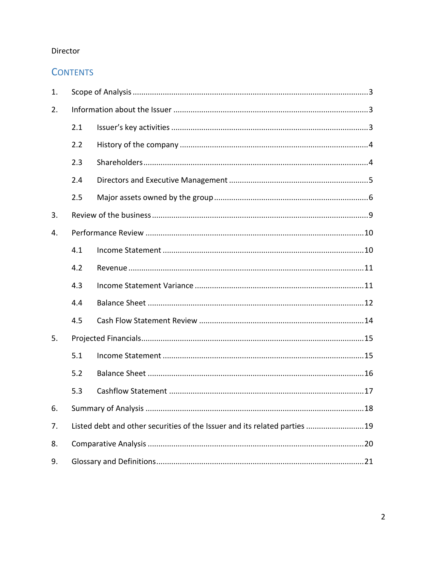## Director

# **CONTENTS**

| 1. |                                                                           |  |  |
|----|---------------------------------------------------------------------------|--|--|
| 2. |                                                                           |  |  |
|    | 2.1                                                                       |  |  |
|    | 2.2                                                                       |  |  |
|    | 2.3                                                                       |  |  |
|    | 2.4                                                                       |  |  |
|    | 2.5                                                                       |  |  |
| 3. |                                                                           |  |  |
| 4. |                                                                           |  |  |
|    | 4.1                                                                       |  |  |
|    | 4.2                                                                       |  |  |
|    | 4.3                                                                       |  |  |
|    | 4.4                                                                       |  |  |
|    | 4.5                                                                       |  |  |
| 5. |                                                                           |  |  |
|    | 5.1                                                                       |  |  |
|    | 5.2                                                                       |  |  |
|    | 5.3                                                                       |  |  |
| 6. |                                                                           |  |  |
| 7. | Listed debt and other securities of the Issuer and its related parties 19 |  |  |
| 8. |                                                                           |  |  |
| 9. |                                                                           |  |  |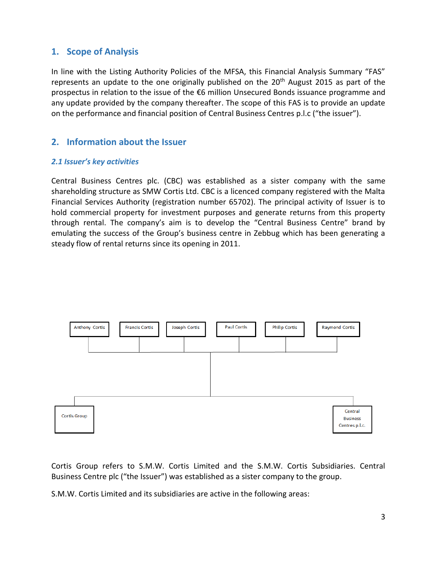# <span id="page-3-0"></span>**1. Scope of Analysis**

In line with the Listing Authority Policies of the MFSA, this Financial Analysis Summary "FAS" represents an update to the one originally published on the 20<sup>th</sup> August 2015 as part of the prospectus in relation to the issue of the €6 million Unsecured Bonds issuance programme and any update provided by the company thereafter. The scope of this FAS is to provide an update on the performance and financial position of Central Business Centres p.l.c ("the issuer").

# <span id="page-3-1"></span>**2. Information about the Issuer**

## <span id="page-3-2"></span>*2.1 Issuer's key activities*

Central Business Centres plc. (CBC) was established as a sister company with the same shareholding structure as SMW Cortis Ltd. CBC is a licenced company registered with the Malta Financial Services Authority (registration number 65702). The principal activity of Issuer is to hold commercial property for investment purposes and generate returns from this property through rental. The company's aim is to develop the "Central Business Centre" brand by emulating the success of the Group's business centre in Zebbug which has been generating a steady flow of rental returns since its opening in 2011.



Cortis Group refers to S.M.W. Cortis Limited and the S.M.W. Cortis Subsidiaries. Central Business Centre plc ("the Issuer") was established as a sister company to the group.

S.M.W. Cortis Limited and its subsidiaries are active in the following areas: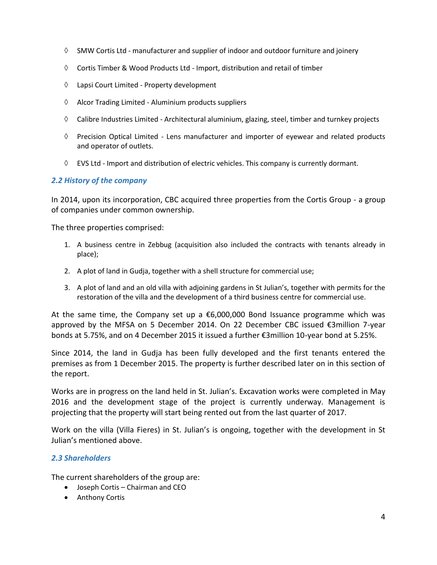- $\Diamond$  SMW Cortis Ltd manufacturer and supplier of indoor and outdoor furniture and joinery
- $\Diamond$  Cortis Timber & Wood Products Ltd Import, distribution and retail of timber
- Lapsi Court Limited Property development
- $\Diamond$  Alcor Trading Limited Aluminium products suppliers
- $\Diamond$  Calibre Industries Limited Architectural aluminium, glazing, steel, timber and turnkey projects
- $\Diamond$  Precision Optical Limited Lens manufacturer and importer of eyewear and related products and operator of outlets.
- $\Diamond$  EVS Ltd Import and distribution of electric vehicles. This company is currently dormant.

## <span id="page-4-0"></span>*2.2 History of the company*

In 2014, upon its incorporation, CBC acquired three properties from the Cortis Group - a group of companies under common ownership.

The three properties comprised:

- 1. A business centre in Zebbug (acquisition also included the contracts with tenants already in place);
- 2. A plot of land in Gudja, together with a shell structure for commercial use;
- 3. A plot of land and an old villa with adjoining gardens in St Julian's, together with permits for the restoration of the villa and the development of a third business centre for commercial use.

At the same time, the Company set up a  $\epsilon$ 6,000,000 Bond Issuance programme which was approved by the MFSA on 5 December 2014. On 22 December CBC issued €3million 7-year bonds at 5.75%, and on 4 December 2015 it issued a further €3million 10-year bond at 5.25%.

Since 2014, the land in Gudja has been fully developed and the first tenants entered the premises as from 1 December 2015. The property is further described later on in this section of the report.

Works are in progress on the land held in St. Julian's. Excavation works were completed in May 2016 and the development stage of the project is currently underway. Management is projecting that the property will start being rented out from the last quarter of 2017.

Work on the villa (Villa Fieres) in St. Julian's is ongoing, together with the development in St Julian's mentioned above.

## <span id="page-4-1"></span>*2.3 Shareholders*

The current shareholders of the group are:

- Joseph Cortis Chairman and CEO
- Anthony Cortis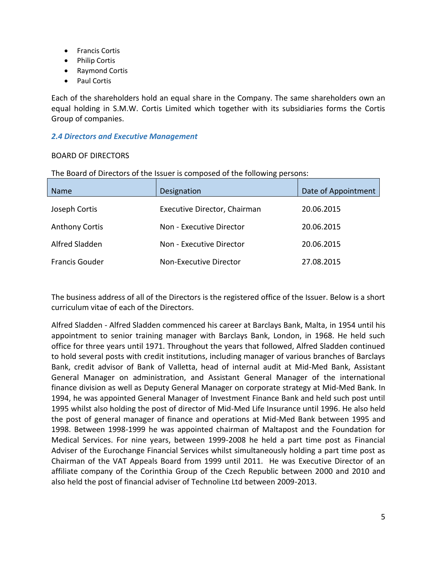- **•** Francis Cortis
- Philip Cortis
- Raymond Cortis
- Paul Cortis

Each of the shareholders hold an equal share in the Company. The same shareholders own an equal holding in S.M.W. Cortis Limited which together with its subsidiaries forms the Cortis Group of companies.

## <span id="page-5-0"></span>*2.4 Directors and Executive Management*

## BOARD OF DIRECTORS

| <b>Name</b>           | ິ່<br>Designation            | Date of Appointment |
|-----------------------|------------------------------|---------------------|
| Joseph Cortis         | Executive Director, Chairman | 20.06.2015          |
| <b>Anthony Cortis</b> | Non - Executive Director     | 20.06.2015          |
| Alfred Sladden        | Non - Executive Director     | 20.06.2015          |
| <b>Francis Gouder</b> | Non-Executive Director       | 27.08.2015          |

The Board of Directors of the Issuer is composed of the following persons:

The business address of all of the Directors is the registered office of the Issuer. Below is a short curriculum vitae of each of the Directors.

Alfred Sladden - Alfred Sladden commenced his career at Barclays Bank, Malta, in 1954 until his appointment to senior training manager with Barclays Bank, London, in 1968. He held such office for three years until 1971. Throughout the years that followed, Alfred Sladden continued to hold several posts with credit institutions, including manager of various branches of Barclays Bank, credit advisor of Bank of Valletta, head of internal audit at Mid-Med Bank, Assistant General Manager on administration, and Assistant General Manager of the international finance division as well as Deputy General Manager on corporate strategy at Mid-Med Bank. In 1994, he was appointed General Manager of Investment Finance Bank and held such post until 1995 whilst also holding the post of director of Mid-Med Life Insurance until 1996. He also held the post of general manager of finance and operations at Mid-Med Bank between 1995 and 1998. Between 1998-1999 he was appointed chairman of Maltapost and the Foundation for Medical Services. For nine years, between 1999-2008 he held a part time post as Financial Adviser of the Eurochange Financial Services whilst simultaneously holding a part time post as Chairman of the VAT Appeals Board from 1999 until 2011. He was Executive Director of an affiliate company of the Corinthia Group of the Czech Republic between 2000 and 2010 and also held the post of financial adviser of Technoline Ltd between 2009-2013.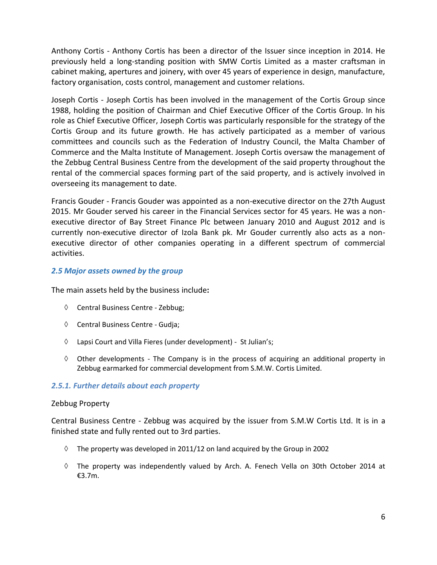Anthony Cortis - Anthony Cortis has been a director of the Issuer since inception in 2014. He previously held a long-standing position with SMW Cortis Limited as a master craftsman in cabinet making, apertures and joinery, with over 45 years of experience in design, manufacture, factory organisation, costs control, management and customer relations.

Joseph Cortis - Joseph Cortis has been involved in the management of the Cortis Group since 1988, holding the position of Chairman and Chief Executive Officer of the Cortis Group. In his role as Chief Executive Officer, Joseph Cortis was particularly responsible for the strategy of the Cortis Group and its future growth. He has actively participated as a member of various committees and councils such as the Federation of Industry Council, the Malta Chamber of Commerce and the Malta Institute of Management. Joseph Cortis oversaw the management of the Zebbug Central Business Centre from the development of the said property throughout the rental of the commercial spaces forming part of the said property, and is actively involved in overseeing its management to date.

Francis Gouder - Francis Gouder was appointed as a non-executive director on the 27th August 2015. Mr Gouder served his career in the Financial Services sector for 45 years. He was a nonexecutive director of Bay Street Finance Plc between January 2010 and August 2012 and is currently non-executive director of Izola Bank pk. Mr Gouder currently also acts as a nonexecutive director of other companies operating in a different spectrum of commercial activities.

## <span id="page-6-0"></span>*2.5 Major assets owned by the group*

The main assets held by the business include**:**

- Central Business Centre Zebbug;
- Central Business Centre Gudja;
- $\Diamond$  Lapsi Court and Villa Fieres (under development) St Julian's;
- $\Diamond$  Other developments The Company is in the process of acquiring an additional property in Zebbug earmarked for commercial development from S.M.W. Cortis Limited.

## *2.5.1. Further details about each property*

#### Zebbug Property

Central Business Centre - Zebbug was acquired by the issuer from S.M.W Cortis Ltd. It is in a finished state and fully rented out to 3rd parties.

- $\Diamond$  The property was developed in 2011/12 on land acquired by the Group in 2002
- $\Diamond$  The property was independently valued by Arch. A. Fenech Vella on 30th October 2014 at €3.7m.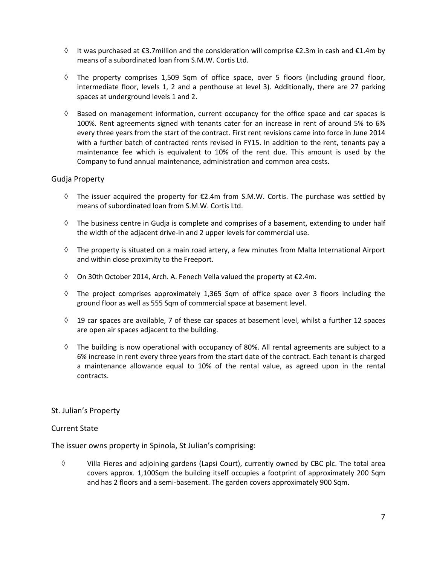- $\Diamond$  It was purchased at €3.7million and the consideration will comprise €2.3m in cash and €1.4m by means of a subordinated loan from S.M.W. Cortis Ltd.
- $\Diamond$  The property comprises 1,509 Sqm of office space, over 5 floors (including ground floor, intermediate floor, levels 1, 2 and a penthouse at level 3). Additionally, there are 27 parking spaces at underground levels 1 and 2.
- $\Diamond$  Based on management information, current occupancy for the office space and car spaces is 100%. Rent agreements signed with tenants cater for an increase in rent of around 5% to 6% every three years from the start of the contract. First rent revisions came into force in June 2014 with a further batch of contracted rents revised in FY15. In addition to the rent, tenants pay a maintenance fee which is equivalent to 10% of the rent due. This amount is used by the Company to fund annual maintenance, administration and common area costs.

#### Gudja Property

- $\Diamond$  The issuer acquired the property for  $\epsilon$ 2.4m from S.M.W. Cortis. The purchase was settled by means of subordinated loan from S.M.W. Cortis Ltd.
- $\Diamond$  The business centre in Gudja is complete and comprises of a basement, extending to under half the width of the adjacent drive-in and 2 upper levels for commercial use.
- $\Diamond$  The property is situated on a main road artery, a few minutes from Malta International Airport and within close proximity to the Freeport.
- $\Diamond$  On 30th October 2014, Arch. A. Fenech Vella valued the property at  $\epsilon$ 2.4m.
- $\Diamond$  The project comprises approximately 1,365 Sqm of office space over 3 floors including the ground floor as well as 555 Sqm of commercial space at basement level.
- $\Diamond$  19 car spaces are available, 7 of these car spaces at basement level, whilst a further 12 spaces are open air spaces adjacent to the building.
- $\Diamond$  The building is now operational with occupancy of 80%. All rental agreements are subject to a 6% increase in rent every three years from the start date of the contract. Each tenant is charged a maintenance allowance equal to 10% of the rental value, as agreed upon in the rental contracts.

#### St. Julian's Property

#### Current State

The issuer owns property in Spinola, St Julian's comprising:

 Villa Fieres and adjoining gardens (Lapsi Court), currently owned by CBC plc. The total area covers approx. 1,100Sqm the building itself occupies a footprint of approximately 200 Sqm and has 2 floors and a semi-basement. The garden covers approximately 900 Sqm.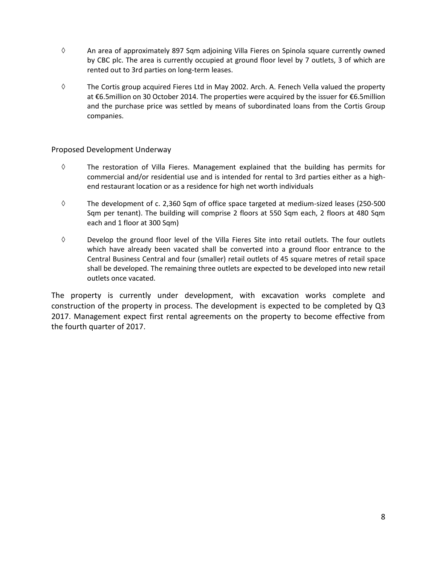- $\Diamond$  An area of approximately 897 Sqm adjoining Villa Fieres on Spinola square currently owned by CBC plc. The area is currently occupied at ground floor level by 7 outlets, 3 of which are rented out to 3rd parties on long-term leases.
- $\Diamond$  The Cortis group acquired Fieres Ltd in May 2002. Arch. A. Fenech Vella valued the property at €6.5million on 30 October 2014. The properties were acquired by the issuer for €6.5million and the purchase price was settled by means of subordinated loans from the Cortis Group companies.

### Proposed Development Underway

- $\diamond$  The restoration of Villa Fieres. Management explained that the building has permits for commercial and/or residential use and is intended for rental to 3rd parties either as a highend restaurant location or as a residence for high net worth individuals
- $\Diamond$  The development of c. 2,360 Sqm of office space targeted at medium-sized leases (250-500 Sqm per tenant). The building will comprise 2 floors at 550 Sqm each, 2 floors at 480 Sqm each and 1 floor at 300 Sqm)
- $\Diamond$  Develop the ground floor level of the Villa Fieres Site into retail outlets. The four outlets which have already been vacated shall be converted into a ground floor entrance to the Central Business Central and four (smaller) retail outlets of 45 square metres of retail space shall be developed. The remaining three outlets are expected to be developed into new retail outlets once vacated.

The property is currently under development, with excavation works complete and construction of the property in process. The development is expected to be completed by Q3 2017. Management expect first rental agreements on the property to become effective from the fourth quarter of 2017.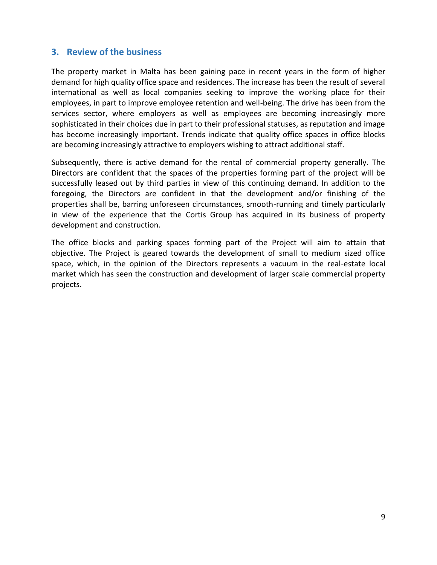## <span id="page-9-0"></span>**3. Review of the business**

The property market in Malta has been gaining pace in recent years in the form of higher demand for high quality office space and residences. The increase has been the result of several international as well as local companies seeking to improve the working place for their employees, in part to improve employee retention and well-being. The drive has been from the services sector, where employers as well as employees are becoming increasingly more sophisticated in their choices due in part to their professional statuses, as reputation and image has become increasingly important. Trends indicate that quality office spaces in office blocks are becoming increasingly attractive to employers wishing to attract additional staff.

Subsequently, there is active demand for the rental of commercial property generally. The Directors are confident that the spaces of the properties forming part of the project will be successfully leased out by third parties in view of this continuing demand. In addition to the foregoing, the Directors are confident in that the development and/or finishing of the properties shall be, barring unforeseen circumstances, smooth-running and timely particularly in view of the experience that the Cortis Group has acquired in its business of property development and construction.

The office blocks and parking spaces forming part of the Project will aim to attain that objective. The Project is geared towards the development of small to medium sized office space, which, in the opinion of the Directors represents a vacuum in the real-estate local market which has seen the construction and development of larger scale commercial property projects.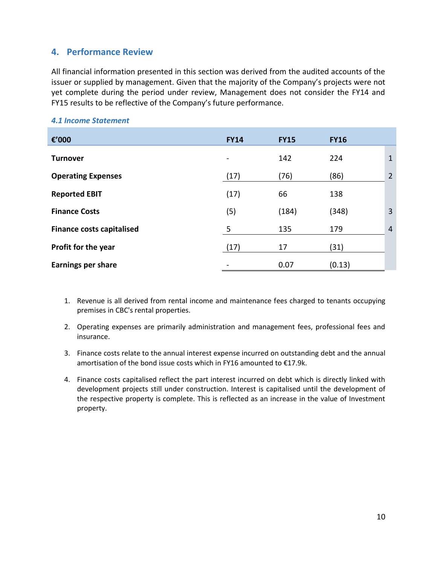# <span id="page-10-0"></span>**4. Performance Review**

All financial information presented in this section was derived from the audited accounts of the issuer or supplied by management. Given that the majority of the Company's projects were not yet complete during the period under review, Management does not consider the FY14 and FY15 results to be reflective of the Company's future performance.

| €'000                            | <b>FY14</b> | <b>FY15</b> | <b>FY16</b> |                |
|----------------------------------|-------------|-------------|-------------|----------------|
| <b>Turnover</b>                  |             | 142         | 224         | $\mathbf{1}$   |
| <b>Operating Expenses</b>        | (17)        | (76)        | (86)        | $\overline{2}$ |
| <b>Reported EBIT</b>             | (17)        | 66          | 138         |                |
| <b>Finance Costs</b>             | (5)         | (184)       | (348)       | 3              |
| <b>Finance costs capitalised</b> | 5           | 135         | 179         | $\overline{4}$ |
| Profit for the year              | (17)        | 17          | (31)        |                |
| <b>Earnings per share</b>        |             | 0.07        | (0.13)      |                |

#### <span id="page-10-1"></span>*4.1 Income Statement*

- 1. Revenue is all derived from rental income and maintenance fees charged to tenants occupying premises in CBC's rental properties.
- 2. Operating expenses are primarily administration and management fees, professional fees and insurance.
- 3. Finance costs relate to the annual interest expense incurred on outstanding debt and the annual amortisation of the bond issue costs which in FY16 amounted to €17.9k.
- 4. Finance costs capitalised reflect the part interest incurred on debt which is directly linked with development projects still under construction. Interest is capitalised until the development of the respective property is complete. This is reflected as an increase in the value of Investment property.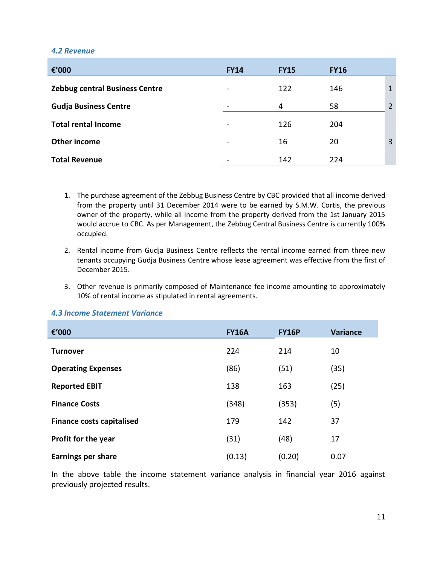#### <span id="page-11-0"></span>*4.2 Revenue*

| €'000                                 | <b>FY14</b>              | <b>FY15</b> | <b>FY16</b> |   |
|---------------------------------------|--------------------------|-------------|-------------|---|
| <b>Zebbug central Business Centre</b> | $\overline{\phantom{a}}$ | 122         | 146         | 1 |
| <b>Gudja Business Centre</b>          |                          | 4           | 58          | 2 |
| <b>Total rental Income</b>            | $\overline{\phantom{a}}$ | 126         | 204         |   |
| Other income                          |                          | 16          | 20          | 3 |
| <b>Total Revenue</b>                  |                          | 142         | 224         |   |

- 1. The purchase agreement of the Zebbug Business Centre by CBC provided that all income derived from the property until 31 December 2014 were to be earned by S.M.W. Cortis, the previous owner of the property, while all income from the property derived from the 1st January 2015 would accrue to CBC. As per Management, the Zebbug Central Business Centre is currently 100% occupied.
- 2. Rental income from Gudja Business Centre reflects the rental income earned from three new tenants occupying Gudja Business Centre whose lease agreement was effective from the first of December 2015.
- 3. Other revenue is primarily composed of Maintenance fee income amounting to approximately 10% of rental income as stipulated in rental agreements.

#### <span id="page-11-1"></span>*4.3 Income Statement Variance*

| €'000                            | <b>FY16A</b> | <b>FY16P</b> | <b>Variance</b> |
|----------------------------------|--------------|--------------|-----------------|
| <b>Turnover</b>                  | 224          | 214          | 10              |
| <b>Operating Expenses</b>        | (86)         | (51)         | (35)            |
| <b>Reported EBIT</b>             | 138          | 163          | (25)            |
| <b>Finance Costs</b>             | (348)        | (353)        | (5)             |
| <b>Finance costs capitalised</b> | 179          | 142          | 37              |
| <b>Profit for the year</b>       | (31)         | (48)         | 17              |
| <b>Earnings per share</b>        | (0.13)       | (0.20)       | 0.07            |

In the above table the income statement variance analysis in financial year 2016 against previously projected results.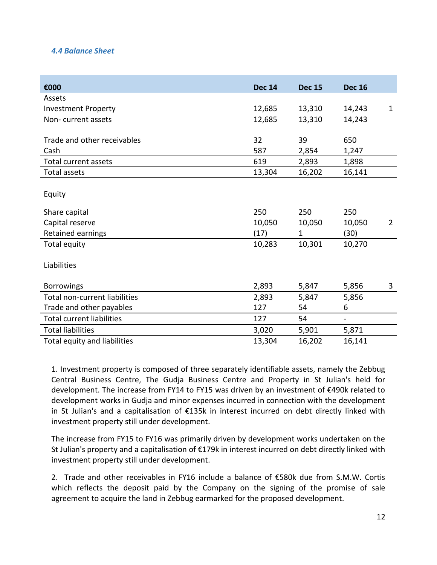## <span id="page-12-0"></span>*4.4 Balance Sheet*

| €000                             | <b>Dec 14</b> | <b>Dec 15</b> | <b>Dec 16</b> |                |
|----------------------------------|---------------|---------------|---------------|----------------|
| Assets                           |               |               |               |                |
| <b>Investment Property</b>       | 12,685        | 13,310        | 14,243        | $\mathbf{1}$   |
| Non-current assets               | 12,685        | 13,310        | 14,243        |                |
|                                  |               |               |               |                |
| Trade and other receivables      | 32            | 39            | 650           |                |
| Cash                             | 587           | 2,854         | 1,247         |                |
| <b>Total current assets</b>      | 619           | 2,893         | 1,898         |                |
| <b>Total assets</b>              | 13,304        | 16,202        | 16,141        |                |
|                                  |               |               |               |                |
| Equity                           |               |               |               |                |
| Share capital                    | 250           | 250           | 250           |                |
| Capital reserve                  | 10,050        | 10,050        | 10,050        | $\overline{2}$ |
| Retained earnings                | (17)          | 1             | (30)          |                |
| Total equity                     | 10,283        | 10,301        | 10,270        |                |
|                                  |               |               |               |                |
| Liabilities                      |               |               |               |                |
|                                  |               |               |               |                |
| <b>Borrowings</b>                | 2,893         | 5,847         | 5,856         | 3              |
| Total non-current liabilities    | 2,893         | 5,847         | 5,856         |                |
| Trade and other payables         | 127           | 54            | 6             |                |
| <b>Total current liabilities</b> | 127           | 54            | ÷             |                |
| <b>Total liabilities</b>         | 3,020         | 5,901         | 5,871         |                |
| Total equity and liabilities     | 13,304        | 16,202        | 16,141        |                |

1. Investment property is composed of three separately identifiable assets, namely the Zebbug Central Business Centre, The Gudja Business Centre and Property in St Julian's held for development. The increase from FY14 to FY15 was driven by an investment of €490k related to development works in Gudja and minor expenses incurred in connection with the development in St Julian's and a capitalisation of €135k in interest incurred on debt directly linked with investment property still under development.

The increase from FY15 to FY16 was primarily driven by development works undertaken on the St Julian's property and a capitalisation of €179k in interest incurred on debt directly linked with investment property still under development.

2. Trade and other receivables in FY16 include a balance of €580k due from S.M.W. Cortis which reflects the deposit paid by the Company on the signing of the promise of sale agreement to acquire the land in Zebbug earmarked for the proposed development.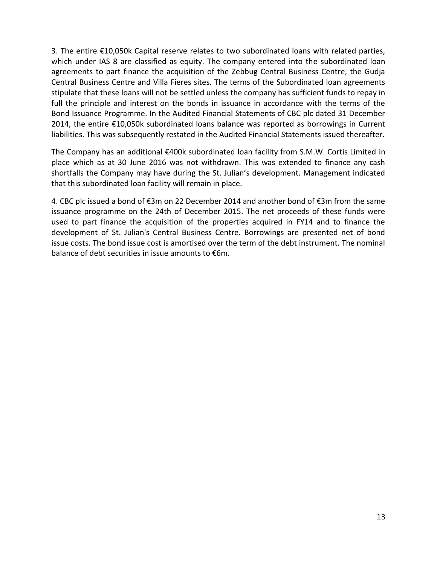3. The entire €10,050k Capital reserve relates to two subordinated loans with related parties, which under IAS 8 are classified as equity. The company entered into the subordinated loan agreements to part finance the acquisition of the Zebbug Central Business Centre, the Gudja Central Business Centre and Villa Fieres sites. The terms of the Subordinated loan agreements stipulate that these loans will not be settled unless the company has sufficient funds to repay in full the principle and interest on the bonds in issuance in accordance with the terms of the Bond Issuance Programme. In the Audited Financial Statements of CBC plc dated 31 December 2014, the entire €10,050k subordinated loans balance was reported as borrowings in Current liabilities. This was subsequently restated in the Audited Financial Statements issued thereafter.

The Company has an additional €400k subordinated loan facility from S.M.W. Cortis Limited in place which as at 30 June 2016 was not withdrawn. This was extended to finance any cash shortfalls the Company may have during the St. Julian's development. Management indicated that this subordinated loan facility will remain in place.

4. CBC plc issued a bond of €3m on 22 December 2014 and another bond of €3m from the same issuance programme on the 24th of December 2015. The net proceeds of these funds were used to part finance the acquisition of the properties acquired in FY14 and to finance the development of St. Julian's Central Business Centre. Borrowings are presented net of bond issue costs. The bond issue cost is amortised over the term of the debt instrument. The nominal balance of debt securities in issue amounts to €6m.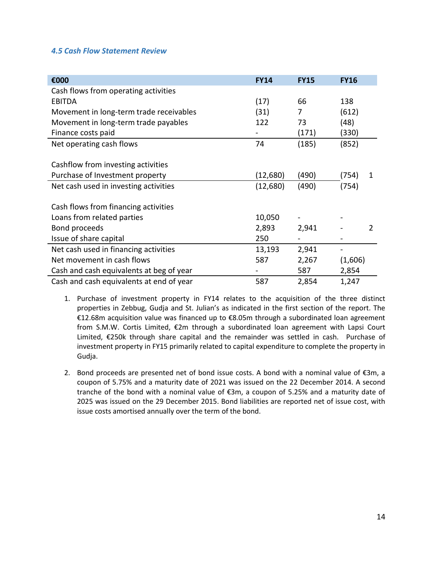### <span id="page-14-0"></span>*4.5 Cash Flow Statement Review*

| €000                                     | <b>FY14</b> | <b>FY15</b> | <b>FY16</b>                  |
|------------------------------------------|-------------|-------------|------------------------------|
| Cash flows from operating activities     |             |             |                              |
| <b>EBITDA</b>                            | (17)        | 66          | 138                          |
| Movement in long-term trade receivables  | (31)        | 7           | (612)                        |
| Movement in long-term trade payables     | 122         | 73          | (48)                         |
| Finance costs paid                       |             | (171)       | (330)                        |
| Net operating cash flows                 | 74          | (185)       | (852)                        |
|                                          |             |             |                              |
| Cashflow from investing activities       |             |             |                              |
| Purchase of Investment property          | (12, 680)   | (490)       | (754)<br>1                   |
| Net cash used in investing activities    | (12,680)    | (490)       | (754)                        |
|                                          |             |             |                              |
| Cash flows from financing activities     |             |             |                              |
| Loans from related parties               | 10,050      |             |                              |
| Bond proceeds                            | 2,893       | 2,941       | 2                            |
| Issue of share capital                   | 250         |             |                              |
| Net cash used in financing activities    | 13,193      | 2,941       | $\qquad \qquad \blacksquare$ |
| Net movement in cash flows               | 587         | 2,267       | (1,606)                      |
| Cash and cash equivalents at beg of year |             | 587         | 2,854                        |
| Cash and cash equivalents at end of year | 587         | 2,854       | 1,247                        |

- 1. Purchase of investment property in FY14 relates to the acquisition of the three distinct properties in Zebbug, Gudja and St. Julian's as indicated in the first section of the report. The €12.68m acquisition value was financed up to €8.05m through a subordinated loan agreement from S.M.W. Cortis Limited, €2m through a subordinated loan agreement with Lapsi Court Limited, €250k through share capital and the remainder was settled in cash. Purchase of investment property in FY15 primarily related to capital expenditure to complete the property in Gudja.
- 2. Bond proceeds are presented net of bond issue costs. A bond with a nominal value of €3m, a coupon of 5.75% and a maturity date of 2021 was issued on the 22 December 2014. A second tranche of the bond with a nominal value of €3m, a coupon of 5.25% and a maturity date of 2025 was issued on the 29 December 2015. Bond liabilities are reported net of issue cost, with issue costs amortised annually over the term of the bond.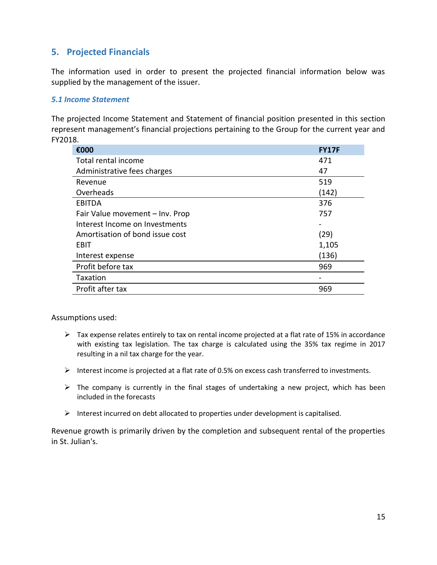# <span id="page-15-0"></span>**5. Projected Financials**

The information used in order to present the projected financial information below was supplied by the management of the issuer.

## <span id="page-15-1"></span>*5.1 Income Statement*

The projected Income Statement and Statement of financial position presented in this section represent management's financial projections pertaining to the Group for the current year and FY2018.

| €000                            | <b>FY17F</b> |
|---------------------------------|--------------|
| Total rental income             | 471          |
| Administrative fees charges     | 47           |
| Revenue                         | 519          |
| Overheads                       | (142)        |
| <b>EBITDA</b>                   | 376          |
| Fair Value movement - Inv. Prop | 757          |
| Interest Income on Investments  |              |
| Amortisation of bond issue cost | (29)         |
| EBIT                            | 1,105        |
| Interest expense                | (136)        |
| Profit before tax               | 969          |
| Taxation                        |              |
| Profit after tax                | 969          |

Assumptions used:

- $\triangleright$  Tax expense relates entirely to tax on rental income projected at a flat rate of 15% in accordance with existing tax legislation. The tax charge is calculated using the 35% tax regime in 2017 resulting in a nil tax charge for the year.
- $\triangleright$  Interest income is projected at a flat rate of 0.5% on excess cash transferred to investments.
- $\triangleright$  The company is currently in the final stages of undertaking a new project, which has been included in the forecasts
- $\triangleright$  Interest incurred on debt allocated to properties under development is capitalised.

Revenue growth is primarily driven by the completion and subsequent rental of the properties in St. Julian's.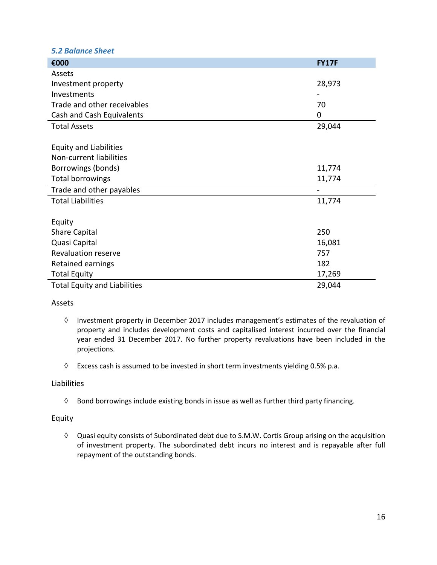#### <span id="page-16-0"></span>*5.2 Balance Sheet*

| €000                                | <b>FY17F</b> |
|-------------------------------------|--------------|
| Assets                              |              |
| Investment property                 | 28,973       |
| Investments                         |              |
| Trade and other receivables         | 70           |
| Cash and Cash Equivalents           | 0            |
| <b>Total Assets</b>                 | 29,044       |
|                                     |              |
| <b>Equity and Liabilities</b>       |              |
| Non-current liabilities             |              |
| Borrowings (bonds)                  | 11,774       |
| Total borrowings                    | 11,774       |
| Trade and other payables            |              |
| <b>Total Liabilities</b>            | 11,774       |
|                                     |              |
| Equity                              |              |
| <b>Share Capital</b>                | 250          |
| Quasi Capital                       | 16,081       |
| <b>Revaluation reserve</b>          | 757          |
| Retained earnings                   | 182          |
| <b>Total Equity</b>                 | 17,269       |
| <b>Total Equity and Liabilities</b> | 29,044       |

#### Assets

- $\Diamond$  Investment property in December 2017 includes management's estimates of the revaluation of property and includes development costs and capitalised interest incurred over the financial year ended 31 December 2017. No further property revaluations have been included in the projections.
- $\Diamond$  Excess cash is assumed to be invested in short term investments yielding 0.5% p.a.

#### Liabilities

 $\Diamond$  Bond borrowings include existing bonds in issue as well as further third party financing.

#### Equity

 $\Diamond$  Quasi equity consists of Subordinated debt due to S.M.W. Cortis Group arising on the acquisition of investment property. The subordinated debt incurs no interest and is repayable after full repayment of the outstanding bonds.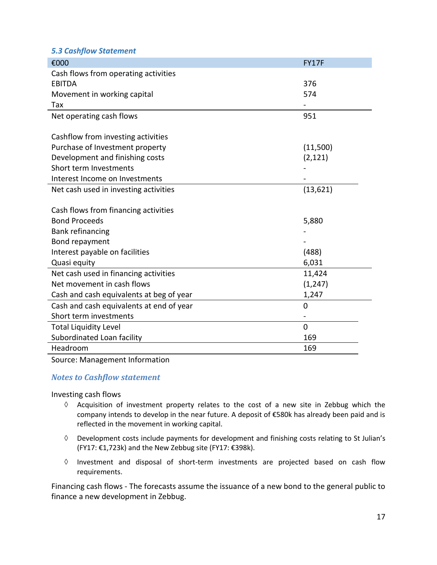## <span id="page-17-0"></span>*5.3 Cashflow Statement*

| €000                                     | <b>FY17F</b> |
|------------------------------------------|--------------|
| Cash flows from operating activities     |              |
| <b>EBITDA</b>                            | 376          |
| Movement in working capital              | 574          |
| Tax                                      |              |
| Net operating cash flows                 | 951          |
|                                          |              |
| Cashflow from investing activities       |              |
| Purchase of Investment property          | (11,500)     |
| Development and finishing costs          | (2, 121)     |
| Short term Investments                   |              |
| Interest Income on Investments           |              |
| Net cash used in investing activities    | (13,621)     |
|                                          |              |
| Cash flows from financing activities     |              |
| <b>Bond Proceeds</b>                     | 5,880        |
| <b>Bank refinancing</b>                  |              |
| Bond repayment                           |              |
| Interest payable on facilities           | (488)        |
| Quasi equity                             | 6,031        |
| Net cash used in financing activities    | 11,424       |
| Net movement in cash flows               | (1, 247)     |
| Cash and cash equivalents at beg of year | 1,247        |
| Cash and cash equivalents at end of year | 0            |
| Short term investments                   |              |
| <b>Total Liquidity Level</b>             | $\mathbf 0$  |
| Subordinated Loan facility               | 169          |
| Headroom                                 | 169          |

#### Source: Management Information

## *Notes to Cashflow statement*

Investing cash flows

- $\Diamond$  Acquisition of investment property relates to the cost of a new site in Zebbug which the company intends to develop in the near future. A deposit of €580k has already been paid and is reflected in the movement in working capital.
- $\Diamond$  Development costs include payments for development and finishing costs relating to St Julian's (FY17: €1,723k) and the New Zebbug site (FY17: €398k).
- $\Diamond$  Investment and disposal of short-term investments are projected based on cash flow requirements.

Financing cash flows - The forecasts assume the issuance of a new bond to the general public to finance a new development in Zebbug.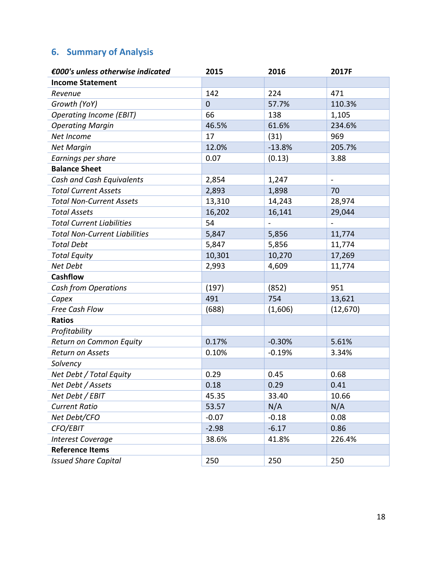# <span id="page-18-0"></span>**6. Summary of Analysis**

| €000's unless otherwise indicated    | 2015        | 2016           | 2017F                    |
|--------------------------------------|-------------|----------------|--------------------------|
| <b>Income Statement</b>              |             |                |                          |
| Revenue                              | 142         | 224            | 471                      |
| Growth (YoY)                         | $\mathbf 0$ | 57.7%          | 110.3%                   |
| <b>Operating Income (EBIT)</b>       | 66          | 138            | 1,105                    |
| <b>Operating Margin</b>              | 46.5%       | 61.6%          | 234.6%                   |
| Net Income                           | 17          | (31)           | 969                      |
| <b>Net Margin</b>                    | 12.0%       | $-13.8%$       | 205.7%                   |
| Earnings per share                   | 0.07        | (0.13)         | 3.88                     |
| <b>Balance Sheet</b>                 |             |                |                          |
| Cash and Cash Equivalents            | 2,854       | 1,247          | $\blacksquare$           |
| <b>Total Current Assets</b>          | 2,893       | 1,898          | 70                       |
| <b>Total Non-Current Assets</b>      | 13,310      | 14,243         | 28,974                   |
| <b>Total Assets</b>                  | 16,202      | 16,141         | 29,044                   |
| <b>Total Current Liabilities</b>     | 54          | $\overline{a}$ | $\overline{\phantom{a}}$ |
| <b>Total Non-Current Liabilities</b> | 5,847       | 5,856          | 11,774                   |
| <b>Total Debt</b>                    | 5,847       | 5,856          | 11,774                   |
| <b>Total Equity</b>                  | 10,301      | 10,270         | 17,269                   |
| Net Debt                             | 2,993       | 4,609          | 11,774                   |
| <b>Cashflow</b>                      |             |                |                          |
| <b>Cash from Operations</b>          | (197)       | (852)          | 951                      |
| Capex                                | 491         | 754            | 13,621                   |
| Free Cash Flow                       | (688)       | (1,606)        | (12,670)                 |
| <b>Ratios</b>                        |             |                |                          |
| Profitability                        |             |                |                          |
| Return on Common Equity              | 0.17%       | $-0.30%$       | 5.61%                    |
| Return on Assets                     | 0.10%       | $-0.19%$       | 3.34%                    |
| Solvency                             |             |                |                          |
| Net Debt / Total Equity              | 0.29        | 0.45           | 0.68                     |
| Net Debt / Assets                    | 0.18        | 0.29           | 0.41                     |
| Net Debt / EBIT                      | 45.35       | 33.40          | 10.66                    |
| <b>Current Ratio</b>                 | 53.57       | N/A            | N/A                      |
| Net Debt/CFO                         | $-0.07$     | $-0.18$        | 0.08                     |
| CFO/EBIT                             | $-2.98$     | $-6.17$        | 0.86                     |
| <b>Interest Coverage</b>             | 38.6%       | 41.8%          | 226.4%                   |
| <b>Reference Items</b>               |             |                |                          |
| <b>Issued Share Capital</b>          | 250         | 250            | 250                      |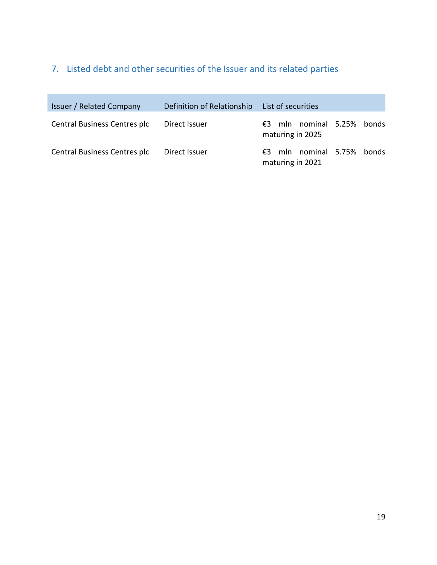# <span id="page-19-0"></span>7. Listed debt and other securities of the Issuer and its related parties

| <b>Issuer / Related Company</b> | Definition of Relationship | List of securities                                |
|---------------------------------|----------------------------|---------------------------------------------------|
| Central Business Centres plc    | Direct Issuer              | mln nominal 5.25% bonds<br>€3<br>maturing in 2025 |
| Central Business Centres plc    | Direct Issuer              | mln nominal 5.75% bonds<br>€3<br>maturing in 2021 |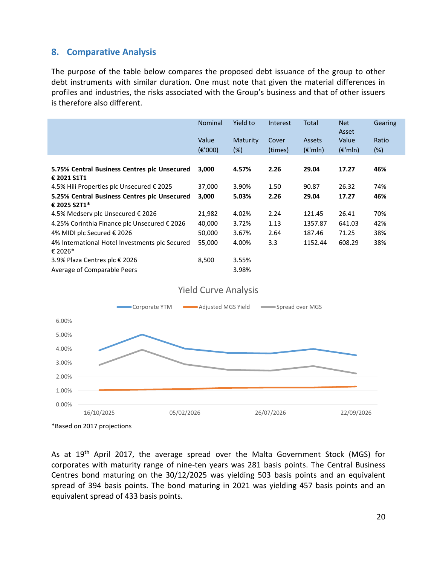# <span id="page-20-0"></span>**8. Comparative Analysis**

The purpose of the table below compares the proposed debt issuance of the group to other debt instruments with similar duration. One must note that given the material differences in profiles and industries, the risks associated with the Group's business and that of other issuers is therefore also different.

|                                                              | <b>Nominal</b>            | Yield to           | Interest         | Total                              | <b>Net</b><br>Asset        | Gearing         |
|--------------------------------------------------------------|---------------------------|--------------------|------------------|------------------------------------|----------------------------|-----------------|
|                                                              | Value<br>$(\epsilon'000)$ | Maturity<br>$(\%)$ | Cover<br>(times) | <b>Assets</b><br>$(\epsilon$ 'mln) | Value<br>$(\epsilon$ 'mln) | Ratio<br>$(\%)$ |
|                                                              |                           |                    |                  |                                    |                            |                 |
| 5.75% Central Business Centres plc Unsecured<br>€ 2021 S1T1  | 3,000                     | 4.57%              | 2.26             | 29.04                              | 17.27                      | 46%             |
| 4.5% Hili Properties plc Unsecured € 2025                    | 37,000                    | 3.90%              | 1.50             | 90.87                              | 26.32                      | 74%             |
| 5.25% Central Business Centres plc Unsecured<br>€ 2025 S2T1* | 3,000                     | 5.03%              | 2.26             | 29.04                              | 17.27                      | 46%             |
| 4.5% Medserv plc Unsecured € 2026                            | 21,982                    | 4.02%              | 2.24             | 121.45                             | 26.41                      | 70%             |
| 4.25% Corinthia Finance plc Unsecured € 2026                 | 40,000                    | 3.72%              | 1.13             | 1357.87                            | 641.03                     | 42%             |
| 4% MIDI plc Secured € 2026                                   | 50,000                    | 3.67%              | 2.64             | 187.46                             | 71.25                      | 38%             |
| 4% International Hotel Investments plc Secured<br>€ 2026*    | 55,000                    | 4.00%              | 3.3              | 1152.44                            | 608.29                     | 38%             |
| 3.9% Plaza Centres plc € 2026                                | 8,500                     | 3.55%              |                  |                                    |                            |                 |
| Average of Comparable Peers                                  |                           | 3.98%              |                  |                                    |                            |                 |



Yield Curve Analysis

As at 19<sup>th</sup> April 2017, the average spread over the Malta Government Stock (MGS) for corporates with maturity range of nine-ten years was 281 basis points. The Central Business Centres bond maturing on the 30/12/2025 was yielding 503 basis points and an equivalent spread of 394 basis points. The bond maturing in 2021 was yielding 457 basis points and an equivalent spread of 433 basis points.

<sup>\*</sup>Based on 2017 projections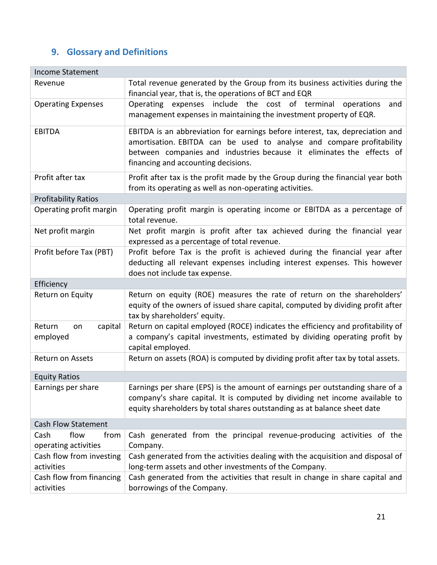# <span id="page-21-0"></span>**9. Glossary and Definitions**

| <b>Income Statement</b>                      |                                                                                                                                                                                                                                                                        |  |  |  |
|----------------------------------------------|------------------------------------------------------------------------------------------------------------------------------------------------------------------------------------------------------------------------------------------------------------------------|--|--|--|
| Revenue                                      | Total revenue generated by the Group from its business activities during the<br>financial year, that is, the operations of BCT and EQR                                                                                                                                 |  |  |  |
| <b>Operating Expenses</b>                    | expenses include the cost of terminal<br>Operating<br>operations<br>and<br>management expenses in maintaining the investment property of EQR.                                                                                                                          |  |  |  |
| <b>EBITDA</b>                                | EBITDA is an abbreviation for earnings before interest, tax, depreciation and<br>amortisation. EBITDA can be used to analyse and compare profitability<br>between companies and industries because it eliminates the effects of<br>financing and accounting decisions. |  |  |  |
| Profit after tax                             | Profit after tax is the profit made by the Group during the financial year both<br>from its operating as well as non-operating activities.                                                                                                                             |  |  |  |
| <b>Profitability Ratios</b>                  |                                                                                                                                                                                                                                                                        |  |  |  |
| Operating profit margin                      | Operating profit margin is operating income or EBITDA as a percentage of<br>total revenue.                                                                                                                                                                             |  |  |  |
| Net profit margin                            | Net profit margin is profit after tax achieved during the financial year<br>expressed as a percentage of total revenue.                                                                                                                                                |  |  |  |
| Profit before Tax (PBT)                      | Profit before Tax is the profit is achieved during the financial year after<br>deducting all relevant expenses including interest expenses. This however<br>does not include tax expense.                                                                              |  |  |  |
| Efficiency                                   |                                                                                                                                                                                                                                                                        |  |  |  |
| Return on Equity                             | Return on equity (ROE) measures the rate of return on the shareholders'<br>equity of the owners of issued share capital, computed by dividing profit after<br>tax by shareholders' equity.                                                                             |  |  |  |
| Return<br>capital<br>on<br>employed          | Return on capital employed (ROCE) indicates the efficiency and profitability of<br>a company's capital investments, estimated by dividing operating profit by<br>capital employed.                                                                                     |  |  |  |
| Return on Assets                             | Return on assets (ROA) is computed by dividing profit after tax by total assets.                                                                                                                                                                                       |  |  |  |
| <b>Equity Ratios</b>                         |                                                                                                                                                                                                                                                                        |  |  |  |
| Earnings per share                           | Earnings per share (EPS) is the amount of earnings per outstanding share of a<br>company's share capital. It is computed by dividing net income available to<br>equity shareholders by total shares outstanding as at balance sheet date                               |  |  |  |
| <b>Cash Flow Statement</b>                   |                                                                                                                                                                                                                                                                        |  |  |  |
| Cash<br>flow<br>from<br>operating activities | Cash generated from the principal revenue-producing activities of the<br>Company.                                                                                                                                                                                      |  |  |  |
| Cash flow from investing<br>activities       | Cash generated from the activities dealing with the acquisition and disposal of<br>long-term assets and other investments of the Company.                                                                                                                              |  |  |  |
| Cash flow from financing<br>activities       | Cash generated from the activities that result in change in share capital and<br>borrowings of the Company.                                                                                                                                                            |  |  |  |